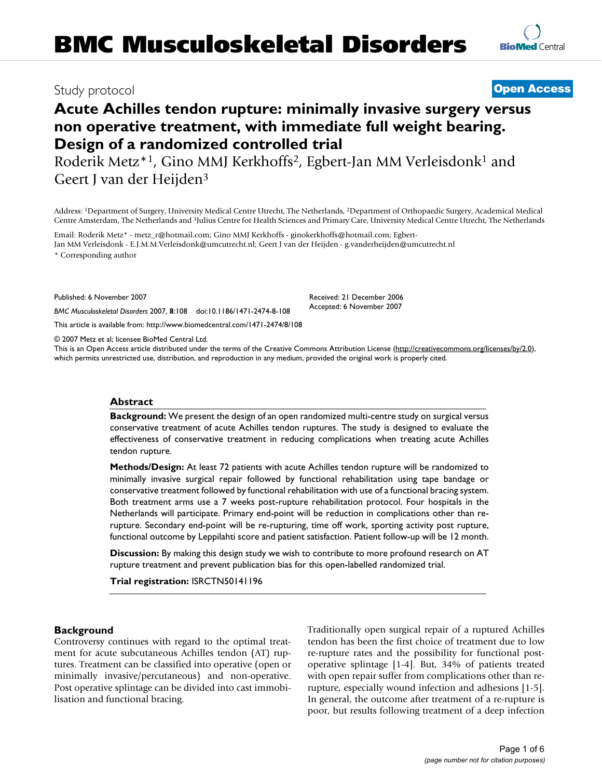# Study protocol **[Open Access](http://www.biomedcentral.com/info/about/charter/)**

# **Acute Achilles tendon rupture: minimally invasive surgery versus non operative treatment, with immediate full weight bearing. Design of a randomized controlled trial**

Roderik Metz\*1, Gino MMJ Kerkhoffs2, Egbert-Jan MM Verleisdonk1 and Geert J van der Heijden3

Address: 1Department of Surgery, University Medical Centre Utrecht, The Netherlands, 2Department of Orthopaedic Surgery, Academical Medical Centre Amsterdam, The Netherlands and 3Julius Centre for Health Sciences and Primary Care, University Medical Centre Utrecht, The Netherlands

Email: Roderik Metz\* - metz\_r@hotmail.com; Gino MMJ Kerkhoffs - ginokerkhoffs@hotmail.com; Egbert-Jan MM Verleisdonk - E.J.M.M.Verleisdonk@umcutrecht.nl; Geert J van der Heijden - g.vanderheijden@umcutrecht.nl \* Corresponding author

Published: 6 November 2007

*BMC Musculoskeletal Disorders* 2007, **8**:108 doi:10.1186/1471-2474-8-108

[This article is available from: http://www.biomedcentral.com/1471-2474/8/108](http://www.biomedcentral.com/1471-2474/8/108)

© 2007 Metz et al; licensee BioMed Central Ltd.

This is an Open Access article distributed under the terms of the Creative Commons Attribution License [\(http://creativecommons.org/licenses/by/2.0\)](http://creativecommons.org/licenses/by/2.0), which permits unrestricted use, distribution, and reproduction in any medium, provided the original work is properly cited.

Received: 21 December 2006 Accepted: 6 November 2007

#### **Abstract**

**Background:** We present the design of an open randomized multi-centre study on surgical versus conservative treatment of acute Achilles tendon ruptures. The study is designed to evaluate the effectiveness of conservative treatment in reducing complications when treating acute Achilles tendon rupture.

**Methods/Design:** At least 72 patients with acute Achilles tendon rupture will be randomized to minimally invasive surgical repair followed by functional rehabilitation using tape bandage or conservative treatment followed by functional rehabilitation with use of a functional bracing system. Both treatment arms use a 7 weeks post-rupture rehabilitation protocol. Four hospitals in the Netherlands will participate. Primary end-point will be reduction in complications other than rerupture. Secondary end-point will be re-rupturing, time off work, sporting activity post rupture, functional outcome by Leppilahti score and patient satisfaction. Patient follow-up will be 12 month.

**Discussion:** By making this design study we wish to contribute to more profound research on AT rupture treatment and prevent publication bias for this open-labelled randomized trial.

**Trial registration:** ISRCTN50141196

#### **Background**

Controversy continues with regard to the optimal treatment for acute subcutaneous Achilles tendon (AT) ruptures. Treatment can be classified into operative (open or minimally invasive/percutaneous) and non-operative. Post operative splintage can be divided into cast immobilisation and functional bracing.

Traditionally open surgical repair of a ruptured Achilles tendon has been the first choice of treatment due to low re-rupture rates and the possibility for functional postoperative splintage [1-4]. But, 34% of patients treated with open repair suffer from complications other than rerupture, especially wound infection and adhesions [1-5]. In general, the outcome after treatment of a re-rupture is poor, but results following treatment of a deep infection

**[BioMed](http://www.biomedcentral.com/)** Central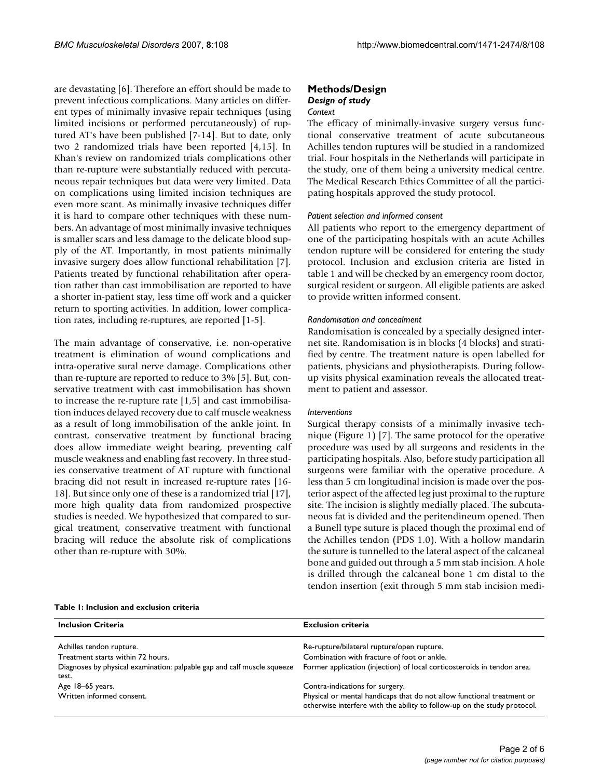are devastating [6]. Therefore an effort should be made to prevent infectious complications. Many articles on different types of minimally invasive repair techniques (using limited incisions or performed percutaneously) of ruptured AT's have been published [7-14]. But to date, only two 2 randomized trials have been reported [4,15]. In Khan's review on randomized trials complications other than re-rupture were substantially reduced with percutaneous repair techniques but data were very limited. Data on complications using limited incision techniques are even more scant. As minimally invasive techniques differ it is hard to compare other techniques with these numbers. An advantage of most minimally invasive techniques is smaller scars and less damage to the delicate blood supply of the AT. Importantly, in most patients minimally invasive surgery does allow functional rehabilitation [7]. Patients treated by functional rehabilitation after operation rather than cast immobilisation are reported to have a shorter in-patient stay, less time off work and a quicker return to sporting activities. In addition, lower complication rates, including re-ruptures, are reported [1-5].

The main advantage of conservative, i.e. non-operative treatment is elimination of wound complications and intra-operative sural nerve damage. Complications other than re-rupture are reported to reduce to 3% [5]. But, conservative treatment with cast immobilisation has shown to increase the re-rupture rate [1,5] and cast immobilisation induces delayed recovery due to calf muscle weakness as a result of long immobilisation of the ankle joint. In contrast, conservative treatment by functional bracing does allow immediate weight bearing, preventing calf muscle weakness and enabling fast recovery. In three studies conservative treatment of AT rupture with functional bracing did not result in increased re-rupture rates [16- 18]. But since only one of these is a randomized trial [17], more high quality data from randomized prospective studies is needed. We hypothesized that compared to surgical treatment, conservative treatment with functional bracing will reduce the absolute risk of complications other than re-rupture with 30%.

# **Methods/Design** *Design of study*

#### *Context*

The efficacy of minimally-invasive surgery versus functional conservative treatment of acute subcutaneous Achilles tendon ruptures will be studied in a randomized trial. Four hospitals in the Netherlands will participate in the study, one of them being a university medical centre. The Medical Research Ethics Committee of all the participating hospitals approved the study protocol.

#### *Patient selection and informed consent*

All patients who report to the emergency department of one of the participating hospitals with an acute Achilles tendon rupture will be considered for entering the study protocol. Inclusion and exclusion criteria are listed in table 1 and will be checked by an emergency room doctor, surgical resident or surgeon. All eligible patients are asked to provide written informed consent.

#### *Randomisation and concealment*

Randomisation is concealed by a specially designed internet site. Randomisation is in blocks (4 blocks) and stratified by centre. The treatment nature is open labelled for patients, physicians and physiotherapists. During followup visits physical examination reveals the allocated treatment to patient and assessor.

#### *Interventions*

Surgical therapy consists of a minimally invasive technique (Figure 1) [7]. The same protocol for the operative procedure was used by all surgeons and residents in the participating hospitals. Also, before study participation all surgeons were familiar with the operative procedure. A less than 5 cm longitudinal incision is made over the posterior aspect of the affected leg just proximal to the rupture site. The incision is slightly medially placed. The subcutaneous fat is divided and the peritendineum opened. Then a Bunell type suture is placed though the proximal end of the Achilles tendon (PDS 1.0). With a hollow mandarin the suture is tunnelled to the lateral aspect of the calcaneal bone and guided out through a 5 mm stab incision. A hole is drilled through the calcaneal bone 1 cm distal to the tendon insertion (exit through 5 mm stab incision medi-

#### **Table 1: Inclusion and exclusion criteria**

| <b>Inclusion Criteria</b>                                                        | <b>Exclusion criteria</b>                                                                                                                          |
|----------------------------------------------------------------------------------|----------------------------------------------------------------------------------------------------------------------------------------------------|
| Achilles tendon rupture.                                                         | Re-rupture/bilateral rupture/open rupture.                                                                                                         |
| Treatment starts within 72 hours.                                                | Combination with fracture of foot or ankle.                                                                                                        |
| Diagnoses by physical examination: palpable gap and calf muscle squeeze<br>test. | Former application (injection) of local corticosteroids in tendon area.                                                                            |
| Age 18-65 years.                                                                 | Contra-indications for surgery.                                                                                                                    |
| Written informed consent.                                                        | Physical or mental handicaps that do not allow functional treatment or<br>otherwise interfere with the ability to follow-up on the study protocol. |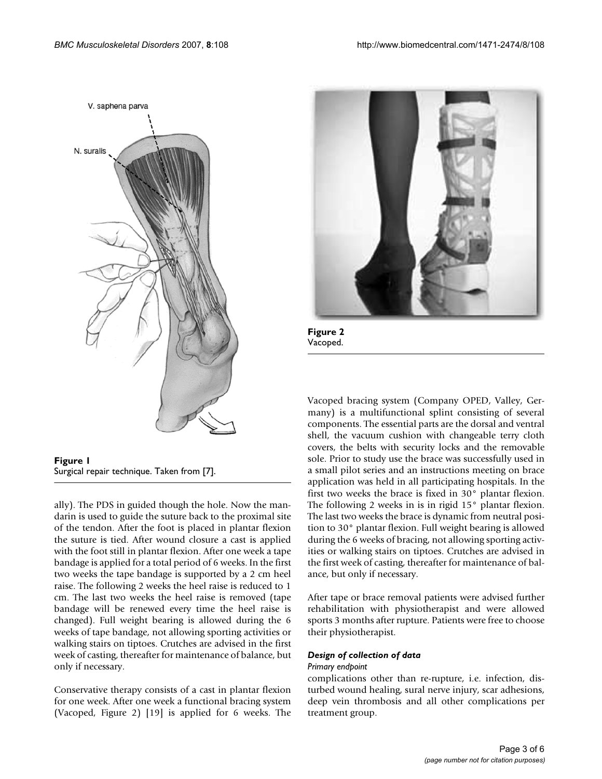

**Figure 1** Surgical repair technique. Taken from [7].

ally). The PDS in guided though the hole. Now the mandarin is used to guide the suture back to the proximal site of the tendon. After the foot is placed in plantar flexion the suture is tied. After wound closure a cast is applied with the foot still in plantar flexion. After one week a tape bandage is applied for a total period of 6 weeks. In the first two weeks the tape bandage is supported by a 2 cm heel raise. The following 2 weeks the heel raise is reduced to 1 cm. The last two weeks the heel raise is removed (tape bandage will be renewed every time the heel raise is changed). Full weight bearing is allowed during the 6 weeks of tape bandage, not allowing sporting activities or walking stairs on tiptoes. Crutches are advised in the first week of casting, thereafter for maintenance of balance, but only if necessary.

Conservative therapy consists of a cast in plantar flexion for one week. After one week a functional bracing system (Vacoped, Figure 2) [19] is applied for 6 weeks. The



**Figure 2** Vacoped.

Vacoped bracing system (Company OPED, Valley, Germany) is a multifunctional splint consisting of several components. The essential parts are the dorsal and ventral shell, the vacuum cushion with changeable terry cloth covers, the belts with security locks and the removable sole. Prior to study use the brace was successfully used in a small pilot series and an instructions meeting on brace application was held in all participating hospitals. In the first two weeks the brace is fixed in 30° plantar flexion. The following 2 weeks in is in rigid 15° plantar flexion. The last two weeks the brace is dynamic from neutral position to 30° plantar flexion. Full weight bearing is allowed during the 6 weeks of bracing, not allowing sporting activities or walking stairs on tiptoes. Crutches are advised in the first week of casting, thereafter for maintenance of balance, but only if necessary.

After tape or brace removal patients were advised further rehabilitation with physiotherapist and were allowed sports 3 months after rupture. Patients were free to choose their physiotherapist.

#### *Design of collection of data*

#### *Primary endpoint*

complications other than re-rupture, i.e. infection, disturbed wound healing, sural nerve injury, scar adhesions, deep vein thrombosis and all other complications per treatment group.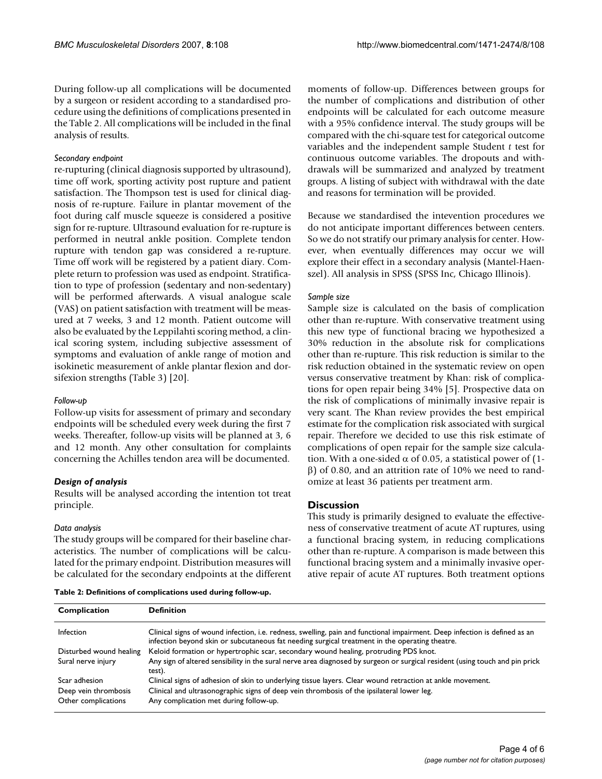During follow-up all complications will be documented by a surgeon or resident according to a standardised procedure using the definitions of complications presented in the Table 2. All complications will be included in the final analysis of results.

#### *Secondary endpoint*

re-rupturing (clinical diagnosis supported by ultrasound), time off work, sporting activity post rupture and patient satisfaction. The Thompson test is used for clinical diagnosis of re-rupture. Failure in plantar movement of the foot during calf muscle squeeze is considered a positive sign for re-rupture. Ultrasound evaluation for re-rupture is performed in neutral ankle position. Complete tendon rupture with tendon gap was considered a re-rupture. Time off work will be registered by a patient diary. Complete return to profession was used as endpoint. Stratification to type of profession (sedentary and non-sedentary) will be performed afterwards. A visual analogue scale (VAS) on patient satisfaction with treatment will be measured at 7 weeks, 3 and 12 month. Patient outcome will also be evaluated by the Leppilahti scoring method, a clinical scoring system, including subjective assessment of symptoms and evaluation of ankle range of motion and isokinetic measurement of ankle plantar flexion and dorsifexion strengths (Table 3) [20].

#### *Follow-up*

Follow-up visits for assessment of primary and secondary endpoints will be scheduled every week during the first 7 weeks. Thereafter, follow-up visits will be planned at 3, 6 and 12 month. Any other consultation for complaints concerning the Achilles tendon area will be documented.

## *Design of analysis*

Results will be analysed according the intention tot treat principle.

#### *Data analysis*

The study groups will be compared for their baseline characteristics. The number of complications will be calculated for the primary endpoint. Distribution measures will be calculated for the secondary endpoints at the different moments of follow-up. Differences between groups for the number of complications and distribution of other endpoints will be calculated for each outcome measure with a 95% confidence interval. The study groups will be compared with the chi-square test for categorical outcome variables and the independent sample Student *t* test for continuous outcome variables. The dropouts and withdrawals will be summarized and analyzed by treatment groups. A listing of subject with withdrawal with the date and reasons for termination will be provided.

Because we standardised the intevention procedures we do not anticipate important differences between centers. So we do not stratify our primary analysis for center. However, when eventually differences may occur we will explore their effect in a secondary analysis (Mantel-Haenszel). All analysis in SPSS (SPSS Inc, Chicago Illinois).

#### *Sample size*

Sample size is calculated on the basis of complication other than re-rupture. With conservative treatment using this new type of functional bracing we hypothesized a 30% reduction in the absolute risk for complications other than re-rupture. This risk reduction is similar to the risk reduction obtained in the systematic review on open versus conservative treatment by Khan: risk of complications for open repair being 34% [5]. Prospective data on the risk of complications of minimally invasive repair is very scant. The Khan review provides the best empirical estimate for the complication risk associated with surgical repair. Therefore we decided to use this risk estimate of complications of open repair for the sample size calculation. With a one-sided  $\alpha$  of 0.05, a statistical power of (1β) of 0.80, and an attrition rate of 10% we need to randomize at least 36 patients per treatment arm.

## **Discussion**

This study is primarily designed to evaluate the effectiveness of conservative treatment of acute AT ruptures, using a functional bracing system, in reducing complications other than re-rupture. A comparison is made between this functional bracing system and a minimally invasive operative repair of acute AT ruptures. Both treatment options

**Table 2: Definitions of complications used during follow-up.**

| Complication                                | Definition                                                                                                                                                                                                                   |
|---------------------------------------------|------------------------------------------------------------------------------------------------------------------------------------------------------------------------------------------------------------------------------|
| Infection                                   | Clinical signs of wound infection, i.e. redness, swelling, pain and functional impairment. Deep infection is defined as an<br>infection beyond skin or subcutaneous fat needing surgical treatment in the operating theatre. |
| Disturbed wound healing                     | Keloid formation or hypertrophic scar, secondary wound healing, protruding PDS knot.                                                                                                                                         |
| Sural nerve injury                          | Any sign of altered sensibility in the sural nerve area diagnosed by surgeon or surgical resident (using touch and pin prick<br>test).                                                                                       |
| Scar adhesion                               | Clinical signs of adhesion of skin to underlying tissue layers. Clear wound retraction at ankle movement.                                                                                                                    |
| Deep vein thrombosis<br>Other complications | Clinical and ultrasonographic signs of deep vein thrombosis of the ipsilateral lower leg.<br>Any complication met during follow-up.                                                                                          |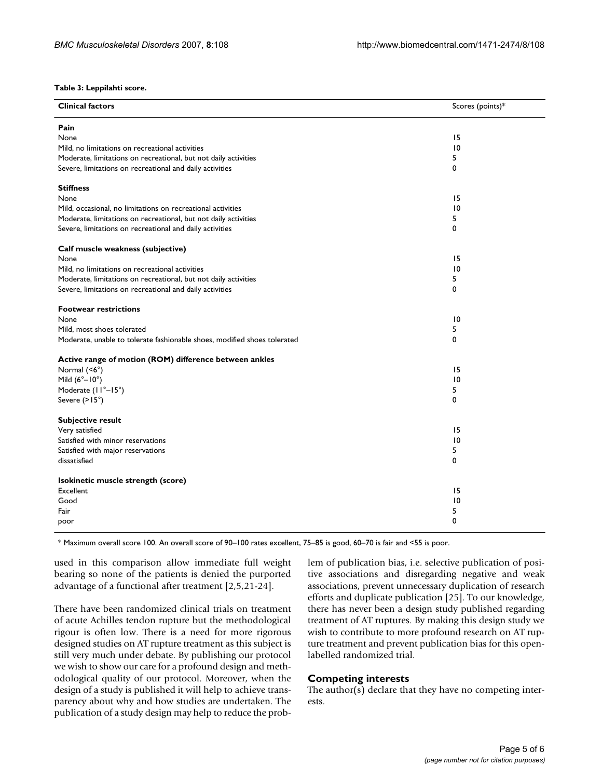**Table 3: Leppilahti score.**

| <b>Clinical factors</b>                                                  | Scores (points)* |
|--------------------------------------------------------------------------|------------------|
| Pain                                                                     |                  |
| None                                                                     | 15               |
| Mild, no limitations on recreational activities                          | 10               |
| Moderate, limitations on recreational, but not daily activities          | 5                |
| Severe, limitations on recreational and daily activities                 | 0                |
| <b>Stiffness</b>                                                         |                  |
| None                                                                     | 15               |
| Mild, occasional, no limitations on recreational activities              | $\overline{10}$  |
| Moderate, limitations on recreational, but not daily activities          | 5                |
| Severe, limitations on recreational and daily activities                 | 0                |
| Calf muscle weakness (subjective)                                        |                  |
| None                                                                     | 15               |
| Mild, no limitations on recreational activities                          | $\overline{10}$  |
| Moderate, limitations on recreational, but not daily activities          | 5                |
| Severe, limitations on recreational and daily activities                 | 0                |
| <b>Footwear restrictions</b>                                             |                  |
| None                                                                     | $\overline{10}$  |
| Mild, most shoes tolerated                                               | 5                |
| Moderate, unable to tolerate fashionable shoes, modified shoes tolerated | 0                |
| Active range of motion (ROM) difference between ankles                   |                  |
| Normal (<6°)                                                             | 15               |
| Mild $(6^\circ - 10^\circ)$                                              | $\overline{10}$  |
| Moderate (II°-15°)                                                       | 5                |
| Severe $(>15^{\circ})$                                                   | 0                |
| Subjective result                                                        |                  |
| Very satisfied                                                           | 15               |
| Satisfied with minor reservations                                        | $\overline{10}$  |
| Satisfied with major reservations                                        | 5                |
| dissatisfied                                                             | 0                |
| Isokinetic muscle strength (score)                                       |                  |
| Excellent                                                                | 15               |
| Good                                                                     | $\overline{10}$  |
| Fair                                                                     | 5                |
| poor                                                                     | 0                |

\* Maximum overall score 100. An overall score of 90–100 rates excellent, 75–85 is good, 60–70 is fair and <55 is poor.

used in this comparison allow immediate full weight bearing so none of the patients is denied the purported advantage of a functional after treatment [2,5,21-24].

There have been randomized clinical trials on treatment of acute Achilles tendon rupture but the methodological rigour is often low. There is a need for more rigorous designed studies on AT rupture treatment as this subject is still very much under debate. By publishing our protocol we wish to show our care for a profound design and methodological quality of our protocol. Moreover, when the design of a study is published it will help to achieve transparency about why and how studies are undertaken. The publication of a study design may help to reduce the problem of publication bias, i.e. selective publication of positive associations and disregarding negative and weak associations, prevent unnecessary duplication of research efforts and duplicate publication [25]. To our knowledge, there has never been a design study published regarding treatment of AT ruptures. By making this design study we wish to contribute to more profound research on AT rupture treatment and prevent publication bias for this openlabelled randomized trial.

#### **Competing interests**

The author(s) declare that they have no competing interests.